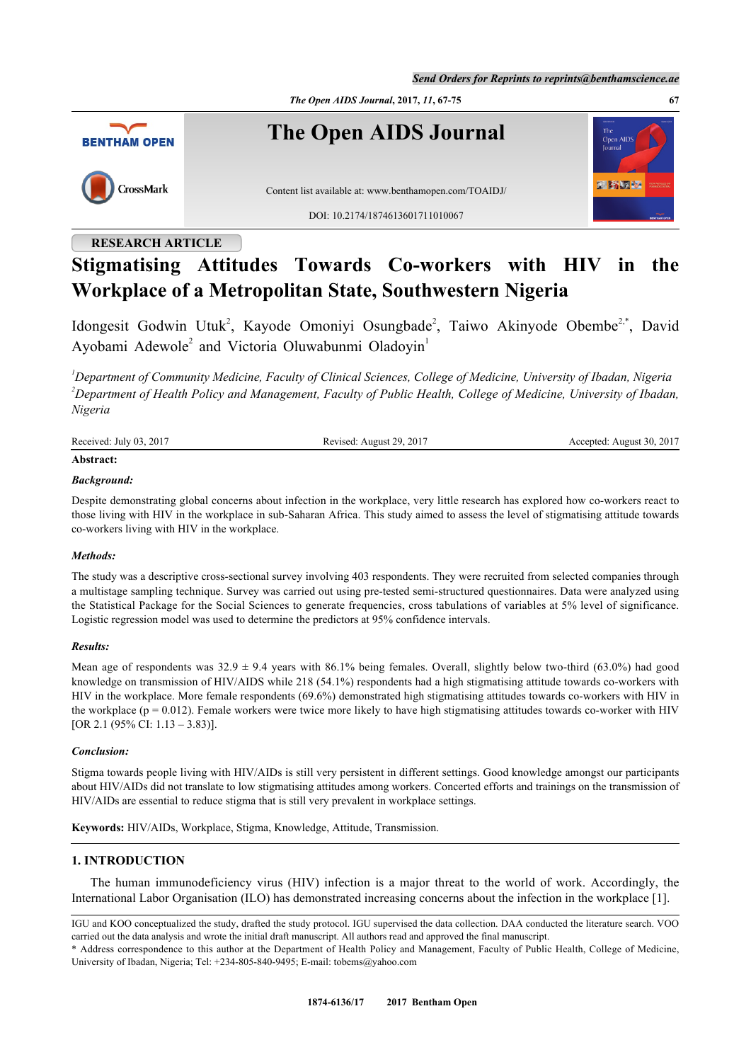*Send Orders for Reprints to reprints@benthamscience.ae*





**The Open AIDS Journal**



Content list available at: [www.benthamopen.com/TOAIDJ/](http://www.benthamopen.com/TOAIDJ/)

DOI: [10.2174/1874613601711010067](http://dx.doi.org/10.2174/1874613601711010067)

## **RESEARCH ARTICLE**

# **Stigmatising Attitudes Towards Co-workers with HIV in the Workplace of a Metropolitan State, Southwestern Nigeria**

Idongesit Godwin Utuk<sup>[2](#page-0-0)</sup>, Kayode Omoniyi Osungbade<sup>2</sup>, Taiwo Akinyode Obembe<sup>[2,](#page-0-0)[\\*](#page-0-1)</sup>, David Ayobami Adewole<sup>[2](#page-0-0)</sup> and Victoria Oluwabunmi Oladoyin<sup>[1](#page-0-2)</sup>

<span id="page-0-2"></span><span id="page-0-0"></span>*<sup>1</sup>Department of Community Medicine, Faculty of Clinical Sciences, College of Medicine, University of Ibadan, Nigeria <sup>2</sup>Department of Health Policy and Management, Faculty of Public Health, College of Medicine, University of Ibadan, Nigeria*

Received: July 03, 2017 Revised: August 29, 2017 Accepted: August 30, 2017 **Abstract:**

## *Background:*

Despite demonstrating global concerns about infection in the workplace, very little research has explored how co-workers react to those living with HIV in the workplace in sub-Saharan Africa. This study aimed to assess the level of stigmatising attitude towards co-workers living with HIV in the workplace.

## *Methods:*

The study was a descriptive cross-sectional survey involving 403 respondents. They were recruited from selected companies through a multistage sampling technique. Survey was carried out using pre-tested semi-structured questionnaires. Data were analyzed using the Statistical Package for the Social Sciences to generate frequencies, cross tabulations of variables at 5% level of significance. Logistic regression model was used to determine the predictors at 95% confidence intervals.

## *Results:*

Mean age of respondents was  $32.9 \pm 9.4$  years with 86.1% being females. Overall, slightly below two-third (63.0%) had good knowledge on transmission of HIV/AIDS while 218 (54.1%) respondents had a high stigmatising attitude towards co-workers with HIV in the workplace. More female respondents (69.6%) demonstrated high stigmatising attitudes towards co-workers with HIV in the workplace ( $p = 0.012$ ). Female workers were twice more likely to have high stigmatising attitudes towards co-worker with HIV [OR 2.1 (95% CI: 1.13 – 3.83)].

## *Conclusion:*

Stigma towards people living with HIV/AIDs is still very persistent in different settings. Good knowledge amongst our participants about HIV/AIDs did not translate to low stigmatising attitudes among workers. Concerted efforts and trainings on the transmission of HIV/AIDs are essential to reduce stigma that is still very prevalent in workplace settings.

**Keywords:** HIV/AIDs, Workplace, Stigma, Knowledge, Attitude, Transmission.

## **1. INTRODUCTION**

The human immunodeficiency virus (HIV) infection is a major threat to the world of work. Accordingly, the International Labor Organisation (ILO) has demonstrated increasing concerns about the infection in the workplace [\[1](#page-7-0)].

周野順極

IGU and KOO conceptualized the study, drafted the study protocol. IGU supervised the data collection. DAA conducted the literature search. VOO carried out the data analysis and wrote the initial draft manuscript. All authors read and approved the final manuscript.

<span id="page-0-1"></span><sup>\*</sup> Address correspondence to this author at the Department of Health Policy and Management, Faculty of Public Health, College of Medicine, University of Ibadan, Nigeria; Tel: +234-805-840-9495; E-mail: [tobems@yahoo.com](mailto:tobems@yahoo.com)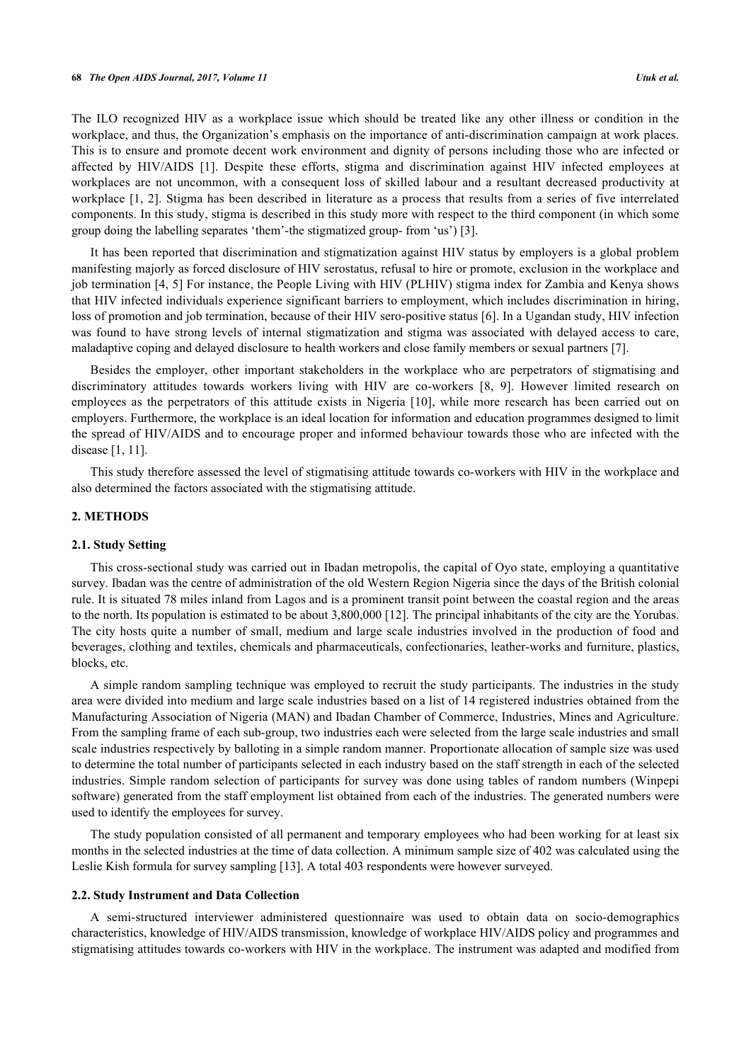#### **68** *The Open AIDS Journal, 2017, Volume 11 Utuk et al.*

The ILO recognized HIV as a workplace issue which should be treated like any other illness or condition in the workplace, and thus, the Organization's emphasis on the importance of anti-discrimination campaign at work places. This is to ensure and promote decent work environment and dignity of persons including those who are infected or affected by HIV/AIDS[[1](#page-7-0)]. Despite these efforts, stigma and discrimination against HIV infected employees at workplaces are not uncommon, with a consequent loss of skilled labour and a resultant decreased productivity at workplace [\[1](#page-7-0), [2](#page-7-1)]. Stigma has been described in literature as a process that results from a series of five interrelated components. In this study, stigma is described in this study more with respect to the third component (in which some group doing the labelling separates 'them'-the stigmatized group- from 'us') [\[3](#page-7-2)].

It has been reported that discrimination and stigmatization against HIV status by employers is a global problem manifesting majorly as forced disclosure of HIV serostatus, refusal to hire or promote, exclusion in the workplace and job termination [[4](#page-7-3), [5\]](#page-7-4) For instance, the People Living with HIV (PLHIV) stigma index for Zambia and Kenya shows that HIV infected individuals experience significant barriers to employment, which includes discrimination in hiring, loss of promotion and job termination, because of their HIV sero-positive status [[6](#page-7-5)]. In a Ugandan study, HIV infection was found to have strong levels of internal stigmatization and stigma was associated with delayed access to care, maladaptive coping and delayed disclosure to health workers and close family members or sexual partners [[7\]](#page-7-6).

Besides the employer, other important stakeholders in the workplace who are perpetrators of stigmatising and discriminatory attitudes towards workers living with HIV are co-workers[[8](#page-7-7), [9\]](#page-7-8). However limited research on employees as the perpetrators of this attitude exists in Nigeria[[10](#page-7-9)], while more research has been carried out on employers. Furthermore, the workplace is an ideal location for information and education programmes designed to limit the spread of HIV/AIDS and to encourage proper and informed behaviour towards those who are infected with the disease [\[1](#page-7-0), [11](#page-7-10)].

This study therefore assessed the level of stigmatising attitude towards co-workers with HIV in the workplace and also determined the factors associated with the stigmatising attitude.

## **2. METHODS**

#### **2.1. Study Setting**

This cross-sectional study was carried out in Ibadan metropolis, the capital of Oyo state, employing a quantitative survey. Ibadan was the centre of administration of the old Western Region Nigeria since the days of the British colonial rule. It is situated 78 miles inland from Lagos and is a prominent transit point between the coastal region and the areas to the north. Its population is estimated to be about 3,800,000 [[12\]](#page-7-11). The principal inhabitants of the city are the Yorubas. The city hosts quite a number of small, medium and large scale industries involved in the production of food and beverages, clothing and textiles, chemicals and pharmaceuticals, confectionaries, leather-works and furniture, plastics, blocks, etc.

A simple random sampling technique was employed to recruit the study participants. The industries in the study area were divided into medium and large scale industries based on a list of 14 registered industries obtained from the Manufacturing Association of Nigeria (MAN) and Ibadan Chamber of Commerce, Industries, Mines and Agriculture. From the sampling frame of each sub-group, two industries each were selected from the large scale industries and small scale industries respectively by balloting in a simple random manner. Proportionate allocation of sample size was used to determine the total number of participants selected in each industry based on the staff strength in each of the selected industries. Simple random selection of participants for survey was done using tables of random numbers (Winpepi software) generated from the staff employment list obtained from each of the industries. The generated numbers were used to identify the employees for survey.

The study population consisted of all permanent and temporary employees who had been working for at least six months in the selected industries at the time of data collection. A minimum sample size of 402 was calculated using the Leslie Kish formula for survey sampling [\[13](#page-7-12)]. A total 403 respondents were however surveyed.

#### **2.2. Study Instrument and Data Collection**

A semi-structured interviewer administered questionnaire was used to obtain data on socio-demographics characteristics, knowledge of HIV/AIDS transmission, knowledge of workplace HIV/AIDS policy and programmes and stigmatising attitudes towards co-workers with HIV in the workplace. The instrument was adapted and modified from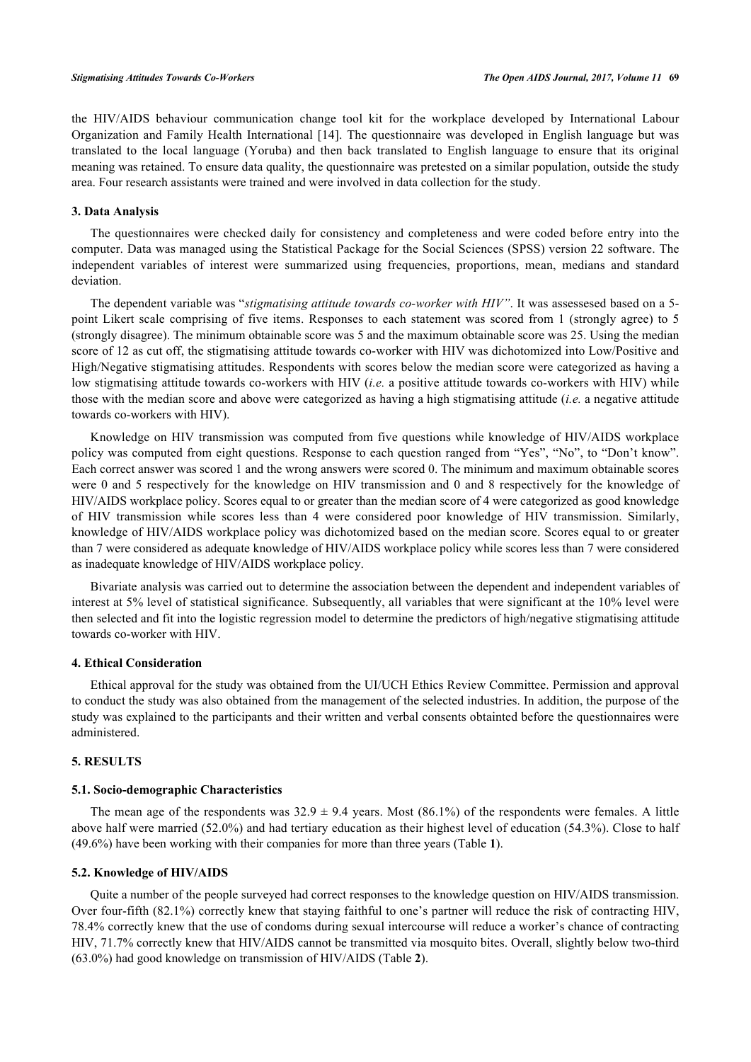the HIV/AIDS behaviour communication change tool kit for the workplace developed by International Labour Organization and Family Health International [\[14\]](#page-7-13). The questionnaire was developed in English language but was translated to the local language (Yoruba) and then back translated to English language to ensure that its original meaning was retained. To ensure data quality, the questionnaire was pretested on a similar population, outside the study area. Four research assistants were trained and were involved in data collection for the study.

#### **3. Data Analysis**

The questionnaires were checked daily for consistency and completeness and were coded before entry into the computer. Data was managed using the Statistical Package for the Social Sciences (SPSS) version 22 software. The independent variables of interest were summarized using frequencies, proportions, mean, medians and standard deviation.

The dependent variable was "*stigmatising attitude towards co-worker with HIV"*. It was assessesed based on a 5 point Likert scale comprising of five items. Responses to each statement was scored from 1 (strongly agree) to 5 (strongly disagree). The minimum obtainable score was 5 and the maximum obtainable score was 25. Using the median score of 12 as cut off, the stigmatising attitude towards co-worker with HIV was dichotomized into Low/Positive and High/Negative stigmatising attitudes. Respondents with scores below the median score were categorized as having a low stigmatising attitude towards co-workers with HIV (*i.e.* a positive attitude towards co-workers with HIV) while those with the median score and above were categorized as having a high stigmatising attitude (*i.e.* a negative attitude towards co-workers with HIV).

Knowledge on HIV transmission was computed from five questions while knowledge of HIV/AIDS workplace policy was computed from eight questions. Response to each question ranged from "Yes", "No", to "Don't know". Each correct answer was scored 1 and the wrong answers were scored 0. The minimum and maximum obtainable scores were 0 and 5 respectively for the knowledge on HIV transmission and 0 and 8 respectively for the knowledge of HIV/AIDS workplace policy. Scores equal to or greater than the median score of 4 were categorized as good knowledge of HIV transmission while scores less than 4 were considered poor knowledge of HIV transmission. Similarly, knowledge of HIV/AIDS workplace policy was dichotomized based on the median score. Scores equal to or greater than 7 were considered as adequate knowledge of HIV/AIDS workplace policy while scores less than 7 were considered as inadequate knowledge of HIV/AIDS workplace policy.

Bivariate analysis was carried out to determine the association between the dependent and independent variables of interest at 5% level of statistical significance. Subsequently, all variables that were significant at the 10% level were then selected and fit into the logistic regression model to determine the predictors of high/negative stigmatising attitude towards co-worker with HIV.

## **4. Ethical Consideration**

Ethical approval for the study was obtained from the UI/UCH Ethics Review Committee. Permission and approval to conduct the study was also obtained from the management of the selected industries. In addition, the purpose of the study was explained to the participants and their written and verbal consents obtainted before the questionnaires were administered.

#### **5. RESULTS**

#### **5.1. Socio-demographic Characteristics**

The mean age of the respondents was  $32.9 \pm 9.4$  years. Most (86.1%) of the respondents were females. A little above half were married (52.0%) and had tertiary education as their highest level of education (54.3%). Close to half (49.6%) have been working with their companies for more than three years (Table **[1](#page-2-0)**).

#### **5.2. Knowledge of HIV/AIDS**

<span id="page-2-0"></span>Quite a number of the people surveyed had correct responses to the knowledge question on HIV/AIDS transmission. Over four-fifth (82.1%) correctly knew that staying faithful to one's partner will reduce the risk of contracting HIV, 78.4% correctly knew that the use of condoms during sexual intercourse will reduce a worker's chance of contracting HIV, 71.7% correctly knew that HIV/AIDS cannot be transmitted via mosquito bites. Overall, slightly below two-third (63.0%) had good knowledge on transmission of HIV/AIDS (Table **[2](#page-3-0)**).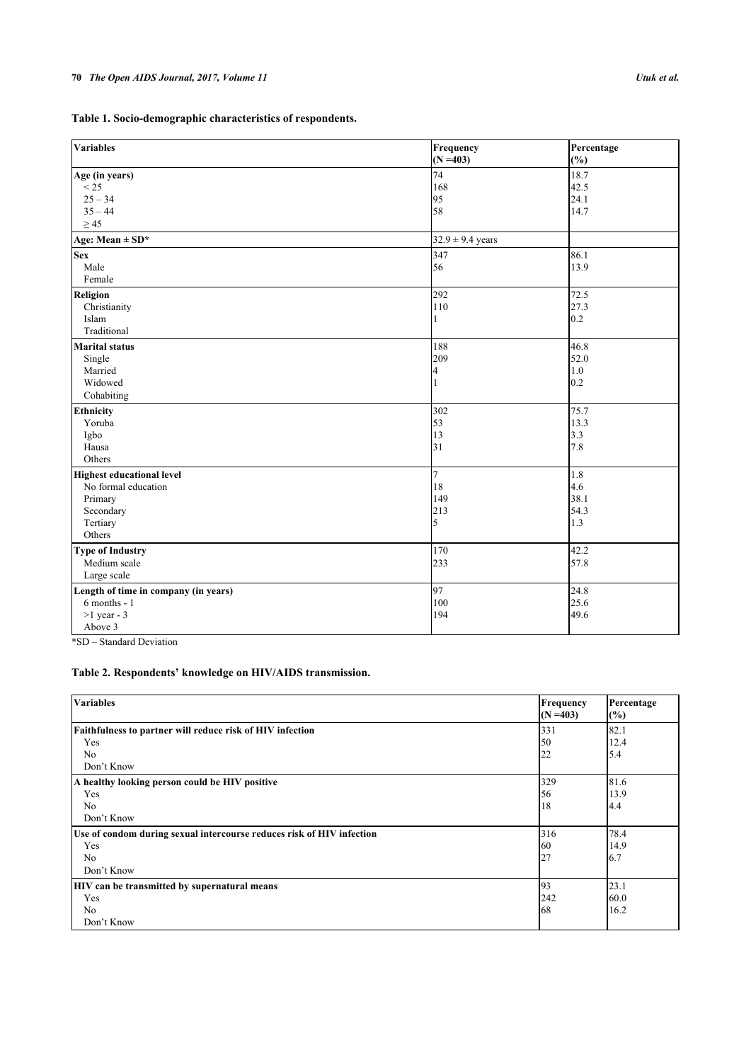|  |  | Table 1. Socio-demographic characteristics of respondents. |  |  |  |  |  |  |  |  |  |  |  |
|--|--|------------------------------------------------------------|--|--|--|--|--|--|--|--|--|--|--|
|  |  |                                                            |  |  |  |  |  |  |  |  |  |  |  |

| Variables                            | Frequency<br>$(N = 403)$ | Percentage<br>(%) |
|--------------------------------------|--------------------------|-------------------|
| Age (in years)                       | 74                       | 18.7              |
| < 25                                 | 168                      | 42.5              |
| $25 - 34$                            | 95                       | 24.1              |
| $35 - 44$                            | 58                       | 14.7              |
| $\geq$ 45                            |                          |                   |
| Age: Mean $\pm$ SD*                  | $32.9 \pm 9.4$ years     |                   |
| <b>Sex</b>                           | 347                      | 86.1              |
| Male                                 | 56                       | 13.9              |
| Female                               |                          |                   |
| Religion                             | 292                      | 72.5              |
| Christianity                         | 110                      | 27.3              |
| Islam                                |                          | 0.2               |
| Traditional                          |                          |                   |
| <b>Marital status</b>                | 188                      | 46.8              |
| Single                               | 209                      | 52.0              |
| Married                              | $\overline{\mathcal{A}}$ | $1.0\,$           |
| Widowed                              | 1                        | 0.2               |
| Cohabiting                           |                          |                   |
| Ethnicity                            | 302                      | 75.7              |
| Yoruba                               | 53                       | 13.3              |
| Igbo                                 | 13                       | 3.3               |
| Hausa                                | 31                       | 7.8               |
| Others                               |                          |                   |
| <b>Highest educational level</b>     | $\overline{7}$           | 1.8               |
| No formal education                  | 18                       | 4.6               |
| Primary                              | 149                      | 38.1              |
| Secondary                            | 213                      | 54.3              |
| Tertiary                             | 5                        | 1.3               |
| Others                               |                          |                   |
| <b>Type of Industry</b>              | 170                      | 42.2              |
| Medium scale                         | 233                      | 57.8              |
| Large scale                          |                          |                   |
| Length of time in company (in years) | 97                       | 24.8              |
| $6$ months - $1$                     | 100                      | 25.6              |
| $>1$ year - 3                        | 194                      | 49.6              |
| Above 3                              |                          |                   |

\*SD – Standard Deviation

## <span id="page-3-0"></span>**Table 2. Respondents' knowledge on HIV/AIDS transmission.**

| <b>Variables</b>                                                      | Frequency<br>$(N = 403)$ | Percentage<br>(%) |
|-----------------------------------------------------------------------|--------------------------|-------------------|
| Faithfulness to partner will reduce risk of HIV infection             | 331                      | 82.1              |
| Yes                                                                   | 50                       | 12.4              |
| No                                                                    | 22                       | 5.4               |
| Don't Know                                                            |                          |                   |
| A healthy looking person could be HIV positive                        | 329                      | 81.6              |
| Yes                                                                   | 56                       | 13.9              |
| No                                                                    | 18                       | 4.4               |
| Don't Know                                                            |                          |                   |
| Use of condom during sexual intercourse reduces risk of HIV infection | 316                      | 78.4              |
| Yes                                                                   | 60                       | 14.9              |
| N <sub>0</sub>                                                        | 27                       | 6.7               |
| Don't Know                                                            |                          |                   |
| <b>HIV</b> can be transmitted by supernatural means                   | 93                       | 23.1              |
| Yes                                                                   | 242                      | 60.0              |
| N <sub>0</sub>                                                        | 68                       | 16.2              |
| Don't Know                                                            |                          |                   |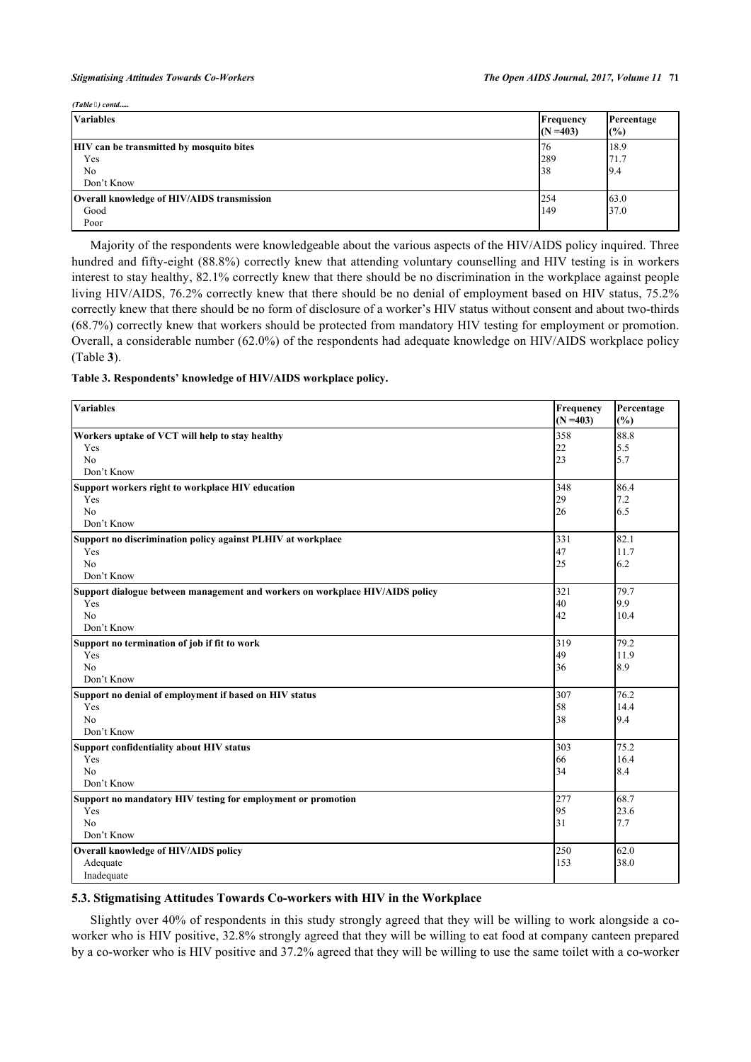#### *Stigmatising Attitudes Towards Co-Workers The Open AIDS Journal, 2017, Volume 11* **71**

*(Table ) contd.....*

| <i>uuut 7, condi</i>                                                                   |                          |                      |
|----------------------------------------------------------------------------------------|--------------------------|----------------------|
| <b>Variables</b>                                                                       | Frequency<br>$(N = 403)$ | Percentage<br>(%)    |
| <b>HIV</b> can be transmitted by mosquito bites<br>Yes<br>N <sub>0</sub><br>Don't Know | 176<br><b>289</b><br> 38 | 18.9<br>71.7<br>19.4 |
| Overall knowledge of HIV/AIDS transmission<br>Good<br>Poor                             | 1254<br>149              | 63.0<br>37.0         |

Majority of the respondents were knowledgeable about the various aspects of the HIV/AIDS policy inquired. Three hundred and fifty-eight (88.8%) correctly knew that attending voluntary counselling and HIV testing is in workers interest to stay healthy, 82.1% correctly knew that there should be no discrimination in the workplace against people living HIV/AIDS, 76.2% correctly knew that there should be no denial of employment based on HIV status, 75.2% correctly knew that there should be no form of disclosure of a worker's HIV status without consent and about two-thirds (68.7%) correctly knew that workers should be protected from mandatory HIV testing for employment or promotion. Overall, a considerable number (62.0%) of the respondents had adequate knowledge on HIV/AIDS workplace policy (Table **[3](#page-4-0)**).

#### <span id="page-4-0"></span>**Table 3. Respondents' knowledge of HIV/AIDS workplace policy.**

| <b>Variables</b>                                                             | Frequency<br>$(N = 403)$ | Percentage<br>(%) |
|------------------------------------------------------------------------------|--------------------------|-------------------|
| Workers uptake of VCT will help to stay healthy                              | 358                      | 88.8              |
| Yes                                                                          | 22                       | 5.5               |
| No                                                                           | 23                       | 5.7               |
| Don't Know                                                                   |                          |                   |
| Support workers right to workplace HIV education                             | 348                      | 86.4              |
| Yes                                                                          | 29                       | 7.2               |
| No                                                                           | 26                       | 6.5               |
| Don't Know                                                                   |                          |                   |
| Support no discrimination policy against PLHIV at workplace                  | 331                      | 82.1              |
| Yes                                                                          | 47                       | 11.7              |
| N <sub>o</sub>                                                               | 25                       | 6.2               |
| Don't Know                                                                   |                          |                   |
| Support dialogue between management and workers on workplace HIV/AIDS policy | 321                      | 79.7              |
| Yes                                                                          | 40                       | 9.9               |
| N <sub>0</sub>                                                               | 42                       | 10.4              |
| Don't Know                                                                   |                          |                   |
| Support no termination of job if fit to work                                 | 319                      | 79.2              |
| Yes                                                                          | 49                       | 11.9              |
| N <sub>0</sub>                                                               | 36                       | 8.9               |
| Don't Know                                                                   |                          |                   |
| Support no denial of employment if based on HIV status                       | 307                      | 76.2              |
| Yes                                                                          | 58                       | 14.4              |
| No                                                                           | 38                       | 9.4               |
| Don't Know                                                                   |                          |                   |
| <b>Support confidentiality about HIV status</b>                              | 303                      | 75.2              |
| Yes                                                                          | 66                       | 16.4              |
| N <sub>o</sub>                                                               | 34                       | 8.4               |
| Don't Know                                                                   |                          |                   |
| Support no mandatory HIV testing for employment or promotion                 | 277                      | 68.7              |
| Yes                                                                          | 95                       | 23.6              |
| No                                                                           | 31                       | 7.7               |
| Don't Know                                                                   |                          |                   |
| Overall knowledge of HIV/AIDS policy                                         | 250                      | 62.0              |
| Adequate                                                                     | 153                      | 38.0              |
| Inadequate                                                                   |                          |                   |

### **5.3. Stigmatising Attitudes Towards Co-workers with HIV in the Workplace**

Slightly over 40% of respondents in this study strongly agreed that they will be willing to work alongside a coworker who is HIV positive, 32.8% strongly agreed that they will be willing to eat food at company canteen prepared by a co-worker who is HIV positive and 37.2% agreed that they will be willing to use the same toilet with a co-worker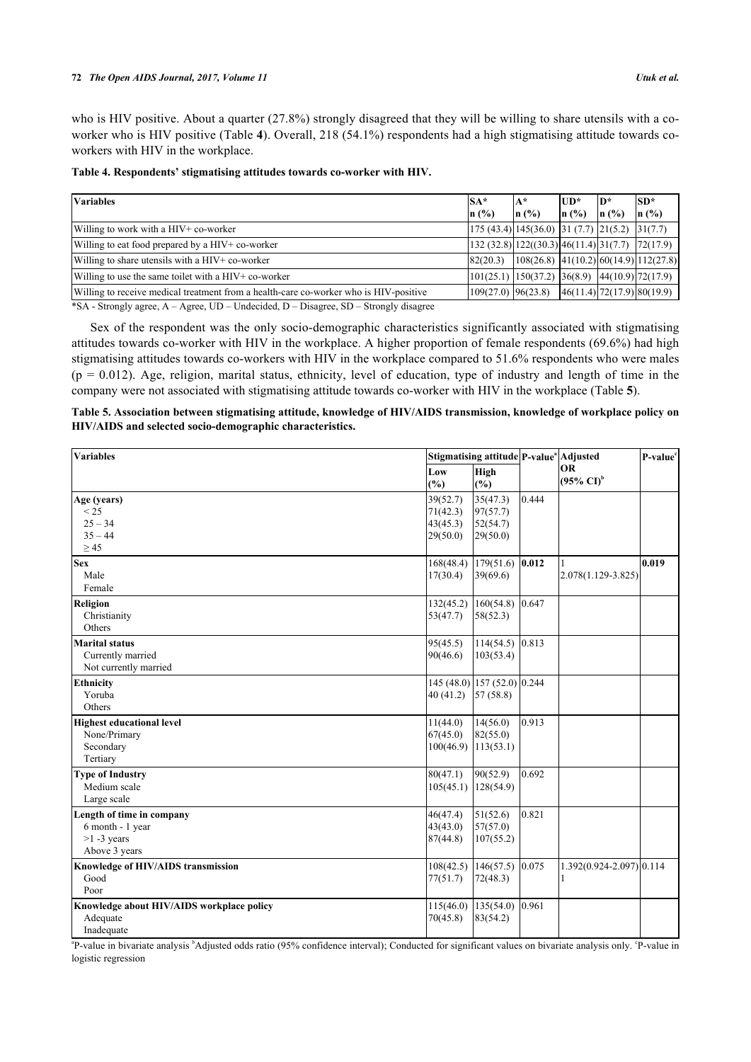who is HIV positive. About a quarter (27.8%) strongly disagreed that they will be willing to share utensils with a coworker who is HIV positive (Table **[4](#page-5-0)**). Overall, 218 (54.1%) respondents had a high stigmatising attitude towards coworkers with HIV in the workplace.

<span id="page-5-0"></span>

| Table 4. Respondents' stigmatising attitudes towards co-worker with HIV. |  |  |  |
|--------------------------------------------------------------------------|--|--|--|
|                                                                          |  |  |  |

| $SA*$    |                                            |            | $ SD*$                                                                                                                                                                                                                                                                                                                                                                                                                                                                                                                                                                                                                                        |
|----------|--------------------------------------------|------------|-----------------------------------------------------------------------------------------------------------------------------------------------------------------------------------------------------------------------------------------------------------------------------------------------------------------------------------------------------------------------------------------------------------------------------------------------------------------------------------------------------------------------------------------------------------------------------------------------------------------------------------------------|
| n(%      | (%)                                        |            | $\ln$ (%)                                                                                                                                                                                                                                                                                                                                                                                                                                                                                                                                                                                                                                     |
|          |                                            |            |                                                                                                                                                                                                                                                                                                                                                                                                                                                                                                                                                                                                                                               |
|          |                                            |            |                                                                                                                                                                                                                                                                                                                                                                                                                                                                                                                                                                                                                                               |
| 82(20.3) |                                            |            |                                                                                                                                                                                                                                                                                                                                                                                                                                                                                                                                                                                                                                               |
|          |                                            |            |                                                                                                                                                                                                                                                                                                                                                                                                                                                                                                                                                                                                                                               |
|          |                                            |            |                                                                                                                                                                                                                                                                                                                                                                                                                                                                                                                                                                                                                                               |
|          | lA*<br>$\ln($ %)<br>$109(27.0)$ $96(23.8)$ | lUD*<br>In | lD*<br>$\ln(9/6)$<br>$\left  \frac{175}{(43.4)} \right  \left  \frac{145}{(36.0)} \right  \left  \frac{31}{(7.7)} \right  \left  \frac{21}{(5.2)} \right  \left  \frac{31}{(7.7)} \right $<br>$ 132(32.8) 122((30.3) 46(11.4) 31(7.7) 72(17.9) $<br>$ 108(26.8) $ $ 41(10.2) 60(14.9) 112(27.8) $<br>$\vert 101(25.1) \vert 150(37.2) \vert 36(8.9) \vert 44(10.9) \vert 72(17.9) \vert 160(17.9) \vert 172(17.9) \vert 183(17.9) \vert 194(19.9) \vert 195(19.9) \vert 196(19.9) \vert 197(19.9) \vert 198(19.9) \vert 199(19.9) \vert 199(19.9) \vert 199(19.9) \vert 199(19.9) \vert 199(19.9) \vert 199(1$<br> 46(11.4) 72(17.9) 80(19.9) |

\*SA - Strongly agree, A – Agree, UD – Undecided, D – Disagree, SD – Strongly disagree

Sex of the respondent was the only socio-demographic characteristics significantly associated with stigmatising attitudes towards co-worker with HIV in the workplace. A higher proportion of female respondents (69.6%) had high stigmatising attitudes towards co-workers with HIV in the workplace compared to 51.6% respondents who were males  $(p = 0.012)$ . Age, religion, marital status, ethnicity, level of education, type of industry and length of time in the company were not associated with stigmatising attitude towards co-worker with HIV in the workplace (Table **[5](#page-5-1)**).

<span id="page-5-1"></span>

| Table 5. Association between stigmatising attitude, knowledge of HIV/AIDS transmission, knowledge of workplace policy on |  |
|--------------------------------------------------------------------------------------------------------------------------|--|
| HIV/AIDS and selected socio-demographic characteristics.                                                                 |  |

| Variables                                                                        |                                              | Stigmatising attitude P-value <sup>a</sup> Adjusted |       |                                    | P-value <sup>c</sup> |  |
|----------------------------------------------------------------------------------|----------------------------------------------|-----------------------------------------------------|-------|------------------------------------|----------------------|--|
|                                                                                  | Low<br>$(\%)$                                | High<br>$(\%)$                                      |       | <b>OR</b><br>$(95\% \text{ CI})^b$ |                      |  |
| Age (years)<br>< 25<br>$25 - 34$<br>$35 - 44$                                    | 39(52.7)<br>71(42.3)<br>43(45.3)<br>29(50.0) | 35(47.3)<br>97(57.7)<br>52(54.7)<br>29(50.0)        | 0.444 |                                    |                      |  |
| $\geq$ 45<br><b>Sex</b><br>Male<br>Female                                        | 17(30.4)                                     | $168(48.4)$ 179(51.6) 0.012<br>39(69.6)             |       | 2.078(1.129-3.825)                 | 0.019                |  |
| Religion<br>Christianity<br>Others                                               | 132(45.2)<br>53(47.7)                        | 160(54.8)<br>58(52.3)                               | 0.647 |                                    |                      |  |
| <b>Marital status</b><br>Currently married<br>Not currently married              | 95(45.5)<br>90(46.6)                         | 114(54.5) 0.813<br>103(53.4)                        |       |                                    |                      |  |
| <b>Ethnicity</b><br>Yoruba<br>Others                                             | 40(41.2)                                     | 145 (48.0) 157 (52.0) 0.244<br>57(58.8)             |       |                                    |                      |  |
| <b>Highest educational level</b><br>None/Primary<br>Secondary<br>Tertiary        | 11(44.0)<br>67(45.0)<br>100(46.9)            | 14(56.0)<br>82(55.0)<br>113(53.1)                   | 0.913 |                                    |                      |  |
| <b>Type of Industry</b><br>Medium scale<br>Large scale                           | 80(47.1)<br>105(45.1)                        | 90(52.9)<br>128(54.9)                               | 0.692 |                                    |                      |  |
| Length of time in company<br>6 month - 1 year<br>$>1 - 3$ years<br>Above 3 years | 46(47.4)<br>43(43.0)<br>87(44.8)             | 51(52.6)<br>57(57.0)<br>107(55.2)                   | 0.821 |                                    |                      |  |
| Knowledge of HIV/AIDS transmission<br>Good<br>Poor                               | 108(42.5)<br>77(51.7)                        | 146(57.5)<br>72(48.3)                               | 0.075 | 1.392(0.924-2.097) 0.114           |                      |  |
| Knowledge about HIV/AIDS workplace policy<br>Adequate<br>Inadequate              | 115(46.0)<br>70(45.8)                        | 135(54.0)<br>83(54.2)                               | 0.961 |                                    |                      |  |

<sup>a</sup>P-value in bivariate analysis <sup>b</sup>Adjusted odds ratio (95% confidence interval); Conducted for significant values on bivariate analysis only. <sup>o</sup>P-value in logistic regression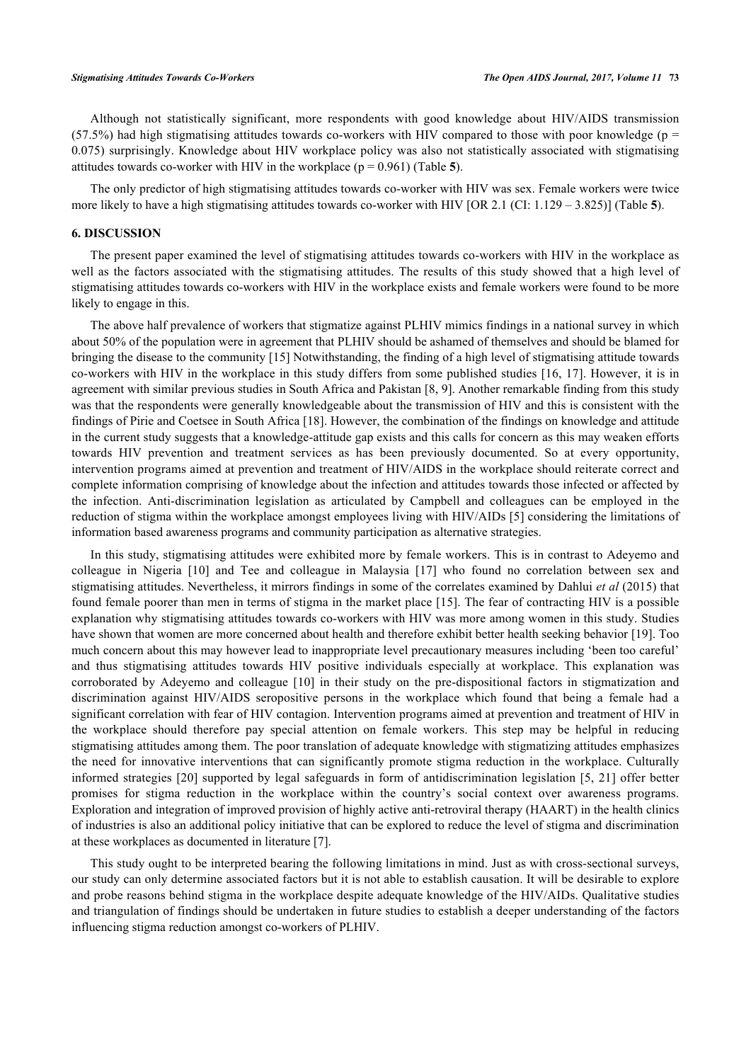Although not statistically significant, more respondents with good knowledge about HIV/AIDS transmission (57.5%) had high stigmatising attitudes towards co-workers with HIV compared to those with poor knowledge ( $p =$ 0.075) surprisingly. Knowledge about HIV workplace policy was also not statistically associated with stigmatising attitudes towards co-worker with HIV in the workplace  $(p = 0.961)$  (Table [5](#page-5-1)).

The only predictor of high stigmatising attitudes towards co-worker with HIV was sex. Female workers were twice more likely to have a high stigmatising attitudes towards co-worker with HIV [OR 2.1 (CI: 1.129 – 3.825)] (Table **[5](#page-5-1)**).

#### **6. DISCUSSION**

The present paper examined the level of stigmatising attitudes towards co-workers with HIV in the workplace as well as the factors associated with the stigmatising attitudes. The results of this study showed that a high level of stigmatising attitudes towards co-workers with HIV in the workplace exists and female workers were found to be more likely to engage in this.

The above half prevalence of workers that stigmatize against PLHIV mimics findings in a national survey in which about 50% of the population were in agreement that PLHIV should be ashamed of themselves and should be blamed for bringing the disease to the community [[15\]](#page-7-14) Notwithstanding, the finding of a high level of stigmatising attitude towards co-workers with HIV in the workplace in this study differs from some published studies [[16,](#page-8-0) [17\]](#page-8-1). However, it is in agreement with similar previous studies in South Africa and Pakistan [\[8](#page-7-7), [9](#page-7-8)]. Another remarkable finding from this study was that the respondents were generally knowledgeable about the transmission of HIV and this is consistent with the findings of Pirie and Coetsee in South Africa [[18\]](#page-8-2). However, the combination of the findings on knowledge and attitude in the current study suggests that a knowledge-attitude gap exists and this calls for concern as this may weaken efforts towards HIV prevention and treatment services as has been previously documented. So at every opportunity, intervention programs aimed at prevention and treatment of HIV/AIDS in the workplace should reiterate correct and complete information comprising of knowledge about the infection and attitudes towards those infected or affected by the infection. Anti-discrimination legislation as articulated by Campbell and colleagues can be employed in the reduction of stigma within the workplace amongst employees living with HIV/AIDs [\[5](#page-7-4)] considering the limitations of information based awareness programs and community participation as alternative strategies.

In this study, stigmatising attitudes were exhibited more by female workers. This is in contrast to Adeyemo and colleague in Nigeria[[10\]](#page-7-9) and Tee and colleague in Malaysia[[17](#page-8-1)] who found no correlation between sex and stigmatising attitudes. Nevertheless, it mirrors findings in some of the correlates examined by Dahlui *et al* (2015) that found female poorer than men in terms of stigma in the market place [\[15](#page-7-14)]. The fear of contracting HIV is a possible explanation why stigmatising attitudes towards co-workers with HIV was more among women in this study. Studies have shown that women are more concerned about health and therefore exhibit better health seeking behavior [[19\]](#page-8-3). Too much concern about this may however lead to inappropriate level precautionary measures including 'been too careful' and thus stigmatising attitudes towards HIV positive individuals especially at workplace. This explanation was corroborated by Adeyemo and colleague[[10](#page-7-9)] in their study on the pre-dispositional factors in stigmatization and discrimination against HIV/AIDS seropositive persons in the workplace which found that being a female had a significant correlation with fear of HIV contagion. Intervention programs aimed at prevention and treatment of HIV in the workplace should therefore pay special attention on female workers. This step may be helpful in reducing stigmatising attitudes among them. The poor translation of adequate knowledge with stigmatizing attitudes emphasizes the need for innovative interventions that can significantly promote stigma reduction in the workplace. Culturally informed strategies [\[20\]](#page-8-4) supported by legal safeguards in form of antidiscrimination legislation [[5,](#page-7-4) [21\]](#page-8-5) offer better promises for stigma reduction in the workplace within the country's social context over awareness programs. Exploration and integration of improved provision of highly active anti-retroviral therapy (HAART) in the health clinics of industries is also an additional policy initiative that can be explored to reduce the level of stigma and discrimination at these workplaces as documented in literature [[7\]](#page-7-6).

This study ought to be interpreted bearing the following limitations in mind. Just as with cross-sectional surveys, our study can only determine associated factors but it is not able to establish causation. It will be desirable to explore and probe reasons behind stigma in the workplace despite adequate knowledge of the HIV/AIDs. Qualitative studies and triangulation of findings should be undertaken in future studies to establish a deeper understanding of the factors influencing stigma reduction amongst co-workers of PLHIV.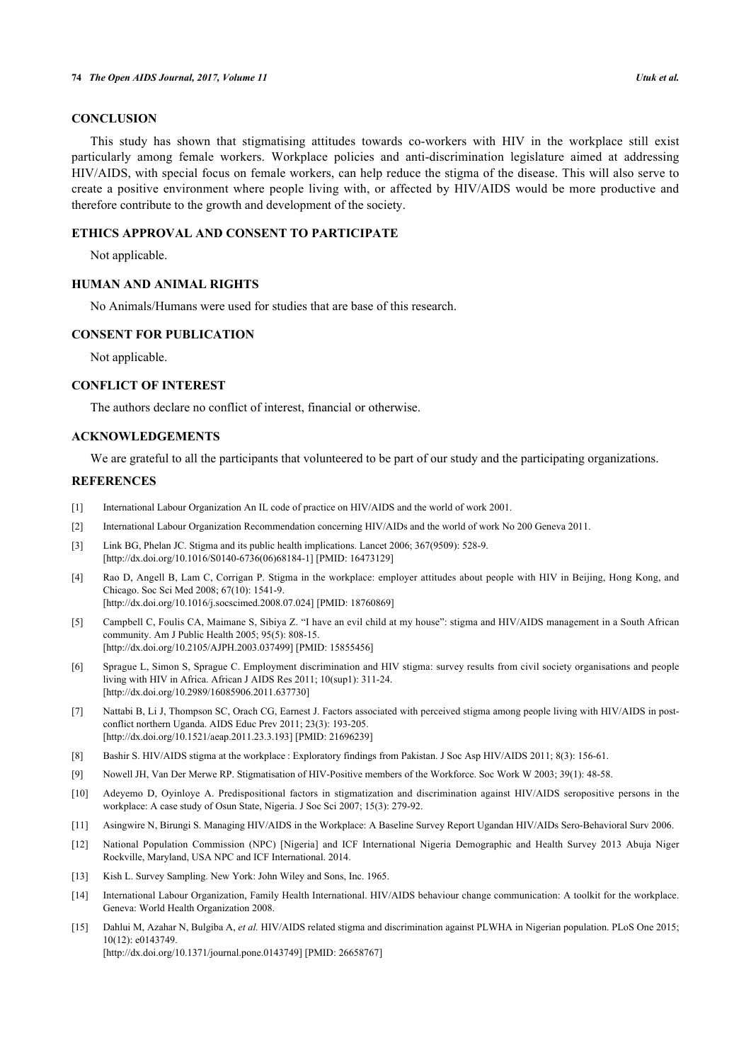## **CONCLUSION**

This study has shown that stigmatising attitudes towards co-workers with HIV in the workplace still exist particularly among female workers. Workplace policies and anti-discrimination legislature aimed at addressing HIV/AIDS, with special focus on female workers, can help reduce the stigma of the disease. This will also serve to create a positive environment where people living with, or affected by HIV/AIDS would be more productive and therefore contribute to the growth and development of the society.

## **ETHICS APPROVAL AND CONSENT TO PARTICIPATE**

Not applicable.

## **HUMAN AND ANIMAL RIGHTS**

No Animals/Humans were used for studies that are base of this research.

### **CONSENT FOR PUBLICATION**

Not applicable.

## **CONFLICT OF INTEREST**

The authors declare no conflict of interest, financial or otherwise.

## **ACKNOWLEDGEMENTS**

We are grateful to all the participants that volunteered to be part of our study and the participating organizations.

#### **REFERENCES**

- <span id="page-7-0"></span>[1] International Labour Organization An IL code of practice on HIV/AIDS and the world of work 2001.
- <span id="page-7-1"></span>[2] International Labour Organization Recommendation concerning HIV/AIDs and the world of work No 200 Geneva 2011.
- <span id="page-7-2"></span>[3] Link BG, Phelan JC. Stigma and its public health implications. Lancet 2006; 367(9509): 528-9. [\[http://dx.doi.org/10.1016/S0140-6736\(06\)68184-1\]](http://dx.doi.org/10.1016/S0140-6736(06)68184-1) [PMID: [16473129](http://www.ncbi.nlm.nih.gov/pubmed/16473129)]
- <span id="page-7-3"></span>[4] Rao D, Angell B, Lam C, Corrigan P. Stigma in the workplace: employer attitudes about people with HIV in Beijing, Hong Kong, and Chicago. Soc Sci Med 2008; 67(10): 1541-9. [\[http://dx.doi.org/10.1016/j.socscimed.2008.07.024](http://dx.doi.org/10.1016/j.socscimed.2008.07.024)] [PMID: [18760869\]](http://www.ncbi.nlm.nih.gov/pubmed/18760869)
- <span id="page-7-4"></span>[5] Campbell C, Foulis CA, Maimane S, Sibiya Z. "I have an evil child at my house": stigma and HIV/AIDS management in a South African community. Am J Public Health 2005; 95(5): 808-15. [\[http://dx.doi.org/10.2105/AJPH.2003.037499\]](http://dx.doi.org/10.2105/AJPH.2003.037499) [PMID: [15855456](http://www.ncbi.nlm.nih.gov/pubmed/15855456)]
- <span id="page-7-5"></span>[6] Sprague L, Simon S, Sprague C. Employment discrimination and HIV stigma: survey results from civil society organisations and people living with HIV in Africa. African J AIDS Res 2011; 10(sup1): 311-24. [\[http://dx.doi.org/10.2989/16085906.2011.637730\]](http://dx.doi.org/10.2989/16085906.2011.637730)
- <span id="page-7-6"></span>[7] Nattabi B, Li J, Thompson SC, Orach CG, Earnest J. Factors associated with perceived stigma among people living with HIV/AIDS in postconflict northern Uganda. AIDS Educ Prev 2011; 23(3): 193-205. [\[http://dx.doi.org/10.1521/aeap.2011.23.3.193](http://dx.doi.org/10.1521/aeap.2011.23.3.193)] [PMID: [21696239](http://www.ncbi.nlm.nih.gov/pubmed/21696239)]
- <span id="page-7-7"></span>[8] Bashir S. HIV/AIDS stigma at the workplace : Exploratory findings from Pakistan. J Soc Asp HIV/AIDS 2011; 8(3): 156-61.
- <span id="page-7-8"></span>[9] Nowell JH, Van Der Merwe RP. Stigmatisation of HIV-Positive members of the Workforce. Soc Work W 2003; 39(1): 48-58.
- <span id="page-7-9"></span>[10] Adeyemo D, Oyinloye A. Predispositional factors in stigmatization and discrimination against HIV/AIDS seropositive persons in the workplace: A case study of Osun State, Nigeria. J Soc Sci 2007; 15(3): 279-92.
- <span id="page-7-10"></span>[11] Asingwire N, Birungi S. Managing HIV/AIDS in the Workplace: A Baseline Survey Report Ugandan HIV/AIDs Sero-Behavioral Surv 2006.
- <span id="page-7-11"></span>[12] National Population Commission (NPC) [Nigeria] and ICF International Nigeria Demographic and Health Survey 2013 Abuja Niger Rockville, Maryland, USA NPC and ICF International. 2014.
- <span id="page-7-12"></span>[13] Kish L. Survey Sampling. New York: John Wiley and Sons, Inc. 1965.
- <span id="page-7-13"></span>[14] International Labour Organization, Family Health International. HIV/AIDS behaviour change communication: A toolkit for the workplace. Geneva: World Health Organization 2008.
- <span id="page-7-14"></span>[15] Dahlui M, Azahar N, Bulgiba A, *et al.* HIV/AIDS related stigma and discrimination against PLWHA in Nigerian population. PLoS One 2015; 10(12): e0143749. [\[http://dx.doi.org/10.1371/journal.pone.0143749](http://dx.doi.org/10.1371/journal.pone.0143749)] [PMID: [26658767\]](http://www.ncbi.nlm.nih.gov/pubmed/26658767)